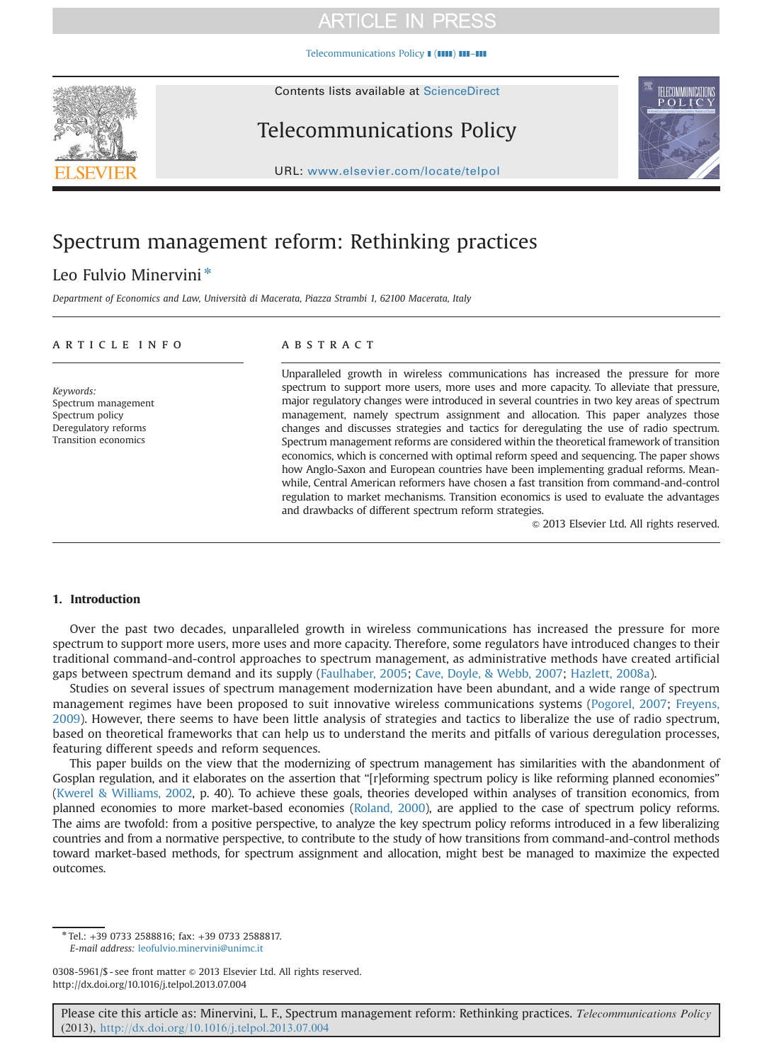[Telecommunications Policy](http://dx.doi.org/10.1016/j.telpol.2013.07.004)  $\blacksquare$  ( $\blacksquare$ )  $\blacksquare$ – $\blacksquare$ 



#### Contents lists available at [ScienceDirect](www.sciencedirect.com/science/journal/03085961)

# Telecommunications Policy



URL: <www.elsevier.com/locate/telpol>

# Spectrum management reform: Rethinking practices

### Leo Fulvio Minervini\*

Department of Economics and Law, Università di Macerata, Piazza Strambi 1, 62100 Macerata, Italy

#### article info

Keywords: Spectrum management Spectrum policy Deregulatory reforms Transition economics

#### **ABSTRACT**

Unparalleled growth in wireless communications has increased the pressure for more spectrum to support more users, more uses and more capacity. To alleviate that pressure, major regulatory changes were introduced in several countries in two key areas of spectrum management, namely spectrum assignment and allocation. This paper analyzes those changes and discusses strategies and tactics for deregulating the use of radio spectrum. Spectrum management reforms are considered within the theoretical framework of transition economics, which is concerned with optimal reform speed and sequencing. The paper shows how Anglo-Saxon and European countries have been implementing gradual reforms. Meanwhile, Central American reformers have chosen a fast transition from command-and-control regulation to market mechanisms. Transition economics is used to evaluate the advantages and drawbacks of different spectrum reform strategies.

 $\odot$  2013 Elsevier Ltd. All rights reserved.

#### 1. Introduction

Over the past two decades, unparalleled growth in wireless communications has increased the pressure for more spectrum to support more users, more uses and more capacity. Therefore, some regulators have introduced changes to their traditional command-and-control approaches to spectrum management, as administrative methods have created artificial gaps between spectrum demand and its supply [\(Faulhaber, 2005;](#page-9-0) [Cave, Doyle,](#page-9-0) & [Webb, 2007](#page-9-0); [Hazlett, 2008a](#page-10-0)).

Studies on several issues of spectrum management modernization have been abundant, and a wide range of spectrum management regimes have been proposed to suit innovative wireless communications systems [\(Pogorel, 2007](#page-10-0); [Freyens,](#page-9-0) [2009](#page-9-0)). However, there seems to have been little analysis of strategies and tactics to liberalize the use of radio spectrum, based on theoretical frameworks that can help us to understand the merits and pitfalls of various deregulation processes, featuring different speeds and reform sequences.

This paper builds on the view that the modernizing of spectrum management has similarities with the abandonment of Gosplan regulation, and it elaborates on the assertion that "[r]eforming spectrum policy is like reforming planned economies" ([Kwerel & Williams, 2002](#page-10-0), p. 40). To achieve these goals, theories developed within analyses of transition economics, from planned economies to more market-based economies [\(Roland, 2000](#page-10-0)), are applied to the case of spectrum policy reforms. The aims are twofold: from a positive perspective, to analyze the key spectrum policy reforms introduced in a few liberalizing countries and from a normative perspective, to contribute to the study of how transitions from command-and-control methods toward market-based methods, for spectrum assignment and allocation, might best be managed to maximize the expected outcomes.

<sup>n</sup> Tel.: +39 0733 2588816; fax: +39 0733 2588817. E-mail address: [leofulvio.minervini@unimc.it](mailto:leofulvio.minervini@unimc.it)

<sup>0308-5961/\$ -</sup> see front matter  $\odot$  2013 Elsevier Ltd. All rights reserved. <http://dx.doi.org/10.1016/j.telpol.2013.07.004>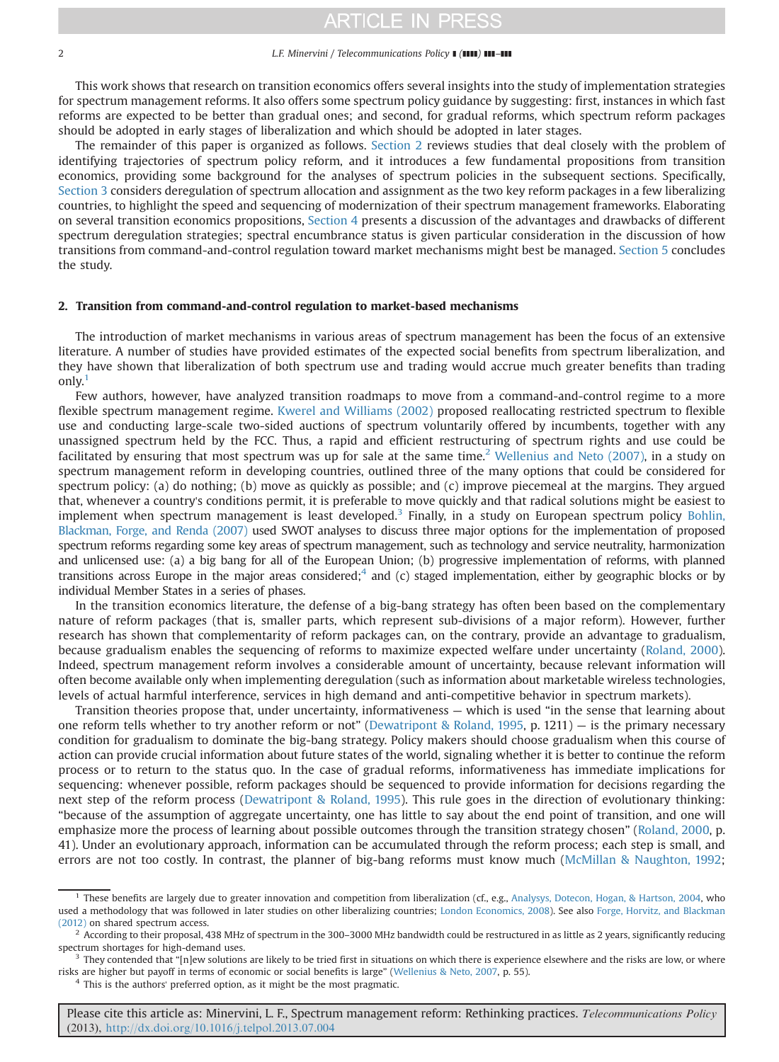#### 2 L.F. Minervini / Telecommunications Policy **[ ([111]) 111-111**

This work shows that research on transition economics offers several insights into the study of implementation strategies for spectrum management reforms. It also offers some spectrum policy guidance by suggesting: first, instances in which fast reforms are expected to be better than gradual ones; and second, for gradual reforms, which spectrum reform packages should be adopted in early stages of liberalization and which should be adopted in later stages.

The remainder of this paper is organized as follows. Section 2 reviews studies that deal closely with the problem of identifying trajectories of spectrum policy reform, and it introduces a few fundamental propositions from transition economics, providing some background for the analyses of spectrum policies in the subsequent sections. Specifically, [Section 3](#page-2-0) considers deregulation of spectrum allocation and assignment as the two key reform packages in a few liberalizing countries, to highlight the speed and sequencing of modernization of their spectrum management frameworks. Elaborating on several transition economics propositions, [Section 4](#page-5-0) presents a discussion of the advantages and drawbacks of different spectrum deregulation strategies; spectral encumbrance status is given particular consideration in the discussion of how transitions from command-and-control regulation toward market mechanisms might best be managed. [Section 5](#page-8-0) concludes the study.

### 2. Transition from command-and-control regulation to market-based mechanisms

The introduction of market mechanisms in various areas of spectrum management has been the focus of an extensive literature. A number of studies have provided estimates of the expected social benefits from spectrum liberalization, and they have shown that liberalization of both spectrum use and trading would accrue much greater benefits than trading only.1

Few authors, however, have analyzed transition roadmaps to move from a command-and-control regime to a more flexible spectrum management regime. [Kwerel and Williams \(2002\)](#page-10-0) proposed reallocating restricted spectrum to flexible use and conducting large-scale two-sided auctions of spectrum voluntarily offered by incumbents, together with any unassigned spectrum held by the FCC. Thus, a rapid and efficient restructuring of spectrum rights and use could be facilitated by ensuring that most spectrum was up for sale at the same time.<sup>2</sup> [Wellenius and Neto \(2007\)](#page-10-0), in a study on spectrum management reform in developing countries, outlined three of the many options that could be considered for spectrum policy: (a) do nothing; (b) move as quickly as possible; and (c) improve piecemeal at the margins. They argued that, whenever a country's conditions permit, it is preferable to move quickly and that radical solutions might be easiest to implement when spectrum management is least developed.<sup>3</sup> Finally, in a study on European spectrum policy [Bohlin,](#page-9-0) [Blackman, Forge, and Renda \(2007\)](#page-9-0) used SWOT analyses to discuss three major options for the implementation of proposed spectrum reforms regarding some key areas of spectrum management, such as technology and service neutrality, harmonization and unlicensed use: (a) a big bang for all of the European Union; (b) progressive implementation of reforms, with planned transitions across Europe in the major areas considered; $4$  and (c) staged implementation, either by geographic blocks or by individual Member States in a series of phases.

In the transition economics literature, the defense of a big-bang strategy has often been based on the complementary nature of reform packages (that is, smaller parts, which represent sub-divisions of a major reform). However, further research has shown that complementarity of reform packages can, on the contrary, provide an advantage to gradualism, because gradualism enables the sequencing of reforms to maximize expected welfare under uncertainty [\(Roland, 2000](#page-10-0)). Indeed, spectrum management reform involves a considerable amount of uncertainty, because relevant information will often become available only when implementing deregulation (such as information about marketable wireless technologies, levels of actual harmful interference, services in high demand and anti-competitive behavior in spectrum markets).

Transition theories propose that, under uncertainty, informativeness — which is used "in the sense that learning about one reform tells whether to try another reform or not" [\(Dewatripont & Roland, 1995](#page-9-0), p. 1211) — is the primary necessary condition for gradualism to dominate the big-bang strategy. Policy makers should choose gradualism when this course of action can provide crucial information about future states of the world, signaling whether it is better to continue the reform process or to return to the status quo. In the case of gradual reforms, informativeness has immediate implications for sequencing: whenever possible, reform packages should be sequenced to provide information for decisions regarding the next step of the reform process ([Dewatripont & Roland, 1995](#page-9-0)). This rule goes in the direction of evolutionary thinking: "because of the assumption of aggregate uncertainty, one has little to say about the end point of transition, and one will emphasize more the process of learning about possible outcomes through the transition strategy chosen" ([Roland, 2000,](#page-10-0) p. 41). Under an evolutionary approach, information can be accumulated through the reform process; each step is small, and errors are not too costly. In contrast, the planner of big-bang reforms must know much ([McMillan](#page-10-0) [& Naughton, 1992](#page-10-0);

They contended that "[n]ew solutions are likely to be tried first in situations on which there is experience elsewhere and the risks are low, or where risks are higher but payoff in terms of economic or social benefits is large" [\(Wellenius & Neto, 2007,](#page-10-0) p. 55).

This is the authors' preferred option, as it might be the most pragmatic.

These benefits are largely due to greater innovation and competition from liberalization (cf., e.g., [Analysys, Dotecon, Hogan, & Hartson, 2004,](#page-9-0) who used a methodology that was followed in later studies on other liberalizing countries; [London Economics, 2008](#page-10-0)). See also [Forge, Horvitz, and Blackman](#page-9-0) [\(2012\)](#page-9-0) on shared spectrum access.

 $^2$  According to their proposal, 438 MHz of spectrum in the 300–3000 MHz bandwidth could be restructured in as little as 2 years, significantly reducing spectrum shortages for high-demand uses.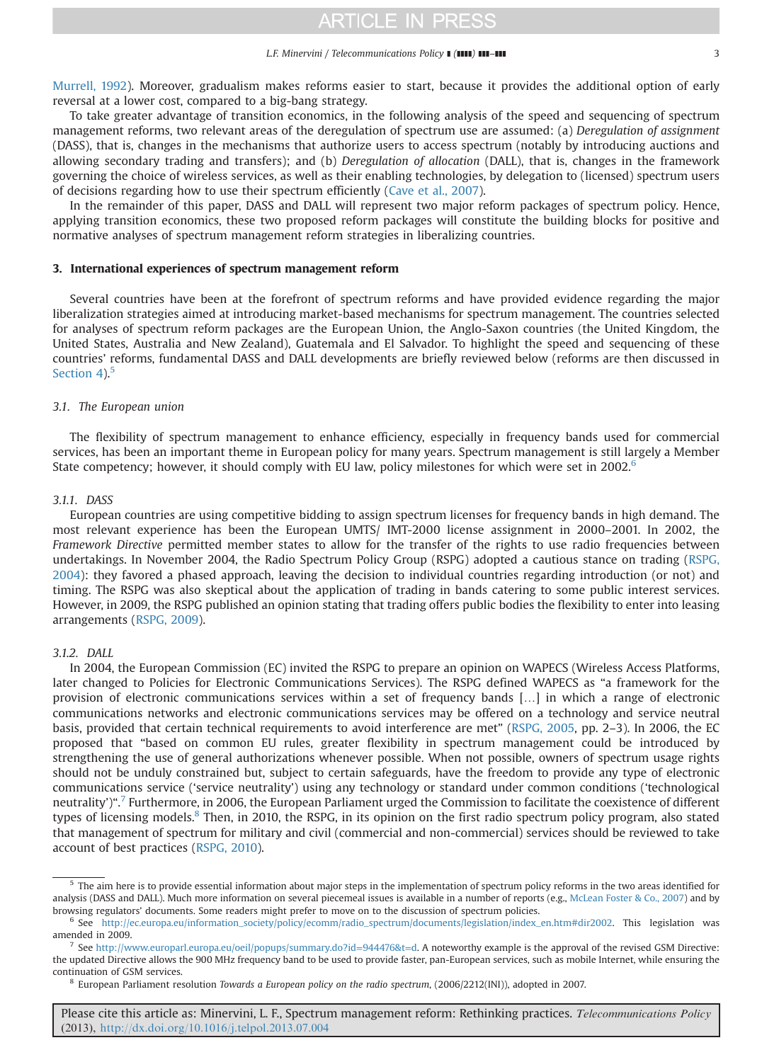<span id="page-2-0"></span>[Murrell, 1992\)](#page-10-0). Moreover, gradualism makes reforms easier to start, because it provides the additional option of early reversal at a lower cost, compared to a big-bang strategy.

To take greater advantage of transition economics, in the following analysis of the speed and sequencing of spectrum management reforms, two relevant areas of the deregulation of spectrum use are assumed: (a) Deregulation of assignment (DASS), that is, changes in the mechanisms that authorize users to access spectrum (notably by introducing auctions and allowing secondary trading and transfers); and (b) Deregulation of allocation (DALL), that is, changes in the framework governing the choice of wireless services, as well as their enabling technologies, by delegation to (licensed) spectrum users of decisions regarding how to use their spectrum efficiently ([Cave et al., 2007\)](#page-9-0).

In the remainder of this paper, DASS and DALL will represent two major reform packages of spectrum policy. Hence, applying transition economics, these two proposed reform packages will constitute the building blocks for positive and normative analyses of spectrum management reform strategies in liberalizing countries.

#### 3. International experiences of spectrum management reform

Several countries have been at the forefront of spectrum reforms and have provided evidence regarding the major liberalization strategies aimed at introducing market-based mechanisms for spectrum management. The countries selected for analyses of spectrum reform packages are the European Union, the Anglo-Saxon countries (the United Kingdom, the United States, Australia and New Zealand), Guatemala and El Salvador. To highlight the speed and sequencing of these countries' reforms, fundamental DASS and DALL developments are briefly reviewed below (reforms are then discussed in Section  $4$ ).<sup>5</sup>

#### 3.1. The European union

The flexibility of spectrum management to enhance efficiency, especially in frequency bands used for commercial services, has been an important theme in European policy for many years. Spectrum management is still largely a Member State competency; however, it should comply with EU law, policy milestones for which were set in 2002.<sup>6</sup>

#### 3.1.1. DASS

European countries are using competitive bidding to assign spectrum licenses for frequency bands in high demand. The most relevant experience has been the European UMTS/ IMT-2000 license assignment in 2000–2001. In 2002, the Framework Directive permitted member states to allow for the transfer of the rights to use radio frequencies between undertakings. In November 2004, the Radio Spectrum Policy Group (RSPG) adopted a cautious stance on trading [\(RSPG,](#page-10-0) [2004](#page-10-0)): they favored a phased approach, leaving the decision to individual countries regarding introduction (or not) and timing. The RSPG was also skeptical about the application of trading in bands catering to some public interest services. However, in 2009, the RSPG published an opinion stating that trading offers public bodies the flexibility to enter into leasing arrangements ([RSPG, 2009\)](#page-10-0).

#### 3.1.2. DALL

In 2004, the European Commission (EC) invited the RSPG to prepare an opinion on WAPECS (Wireless Access Platforms, later changed to Policies for Electronic Communications Services). The RSPG defined WAPECS as "a framework for the provision of electronic communications services within a set of frequency bands […] in which a range of electronic communications networks and electronic communications services may be offered on a technology and service neutral basis, provided that certain technical requirements to avoid interference are met" ([RSPG, 2005,](#page-10-0) pp. 2–3). In 2006, the EC proposed that "based on common EU rules, greater flexibility in spectrum management could be introduced by strengthening the use of general authorizations whenever possible. When not possible, owners of spectrum usage rights should not be unduly constrained but, subject to certain safeguards, have the freedom to provide any type of electronic communications service ('service neutrality') using any technology or standard under common conditions ('technological neutrality')".<sup>7</sup> Furthermore, in 2006, the European Parliament urged the Commission to facilitate the coexistence of different types of licensing models.<sup>8</sup> Then, in 2010, the RSPG, in its opinion on the first radio spectrum policy program, also stated that management of spectrum for military and civil (commercial and non-commercial) services should be reviewed to take account of best practices [\(RSPG, 2010\)](#page-10-0).

The aim here is to provide essential information about major steps in the implementation of spectrum policy reforms in the two areas identified for analysis (DASS and DALL). Much more information on several piecemeal issues is available in a number of reports (e.g., [McLean Foster & Co., 2007](#page-10-0)) and by browsing regulators' documents. Some readers might prefer to move on to the discussion of spectrum policies.

<sup>6</sup> See [http://ec.europa.eu/information\\_society/policy/ecomm/radio\\_spectrum/documents/legislation/index\\_en.htm#dir2002](http://ec.europa.eu/information_society/policy/ecomm/radio_spectrum/documents/legislation/index_en.htm#dir2002). This legislation was amended in 2009.

 $^7$  See [http://www.europarl.europa.eu/oeil/popups/summary.do?id](http://www.europarl.europa.eu/oeil/popups/summary.do?id=944476&t=d)=944476&t=[d.](http://www.europarl.europa.eu/oeil/popups/summary.do?id=944476&t=d) A noteworthy example is the approval of the revised GSM Directive: the updated Directive allows the 900 MHz frequency band to be used to provide faster, pan-European services, such as mobile Internet, while ensuring the continuation of GSM services.

 $8$  European Parliament resolution Towards a European policy on the radio spectrum, (2006/2212(INI)), adopted in 2007.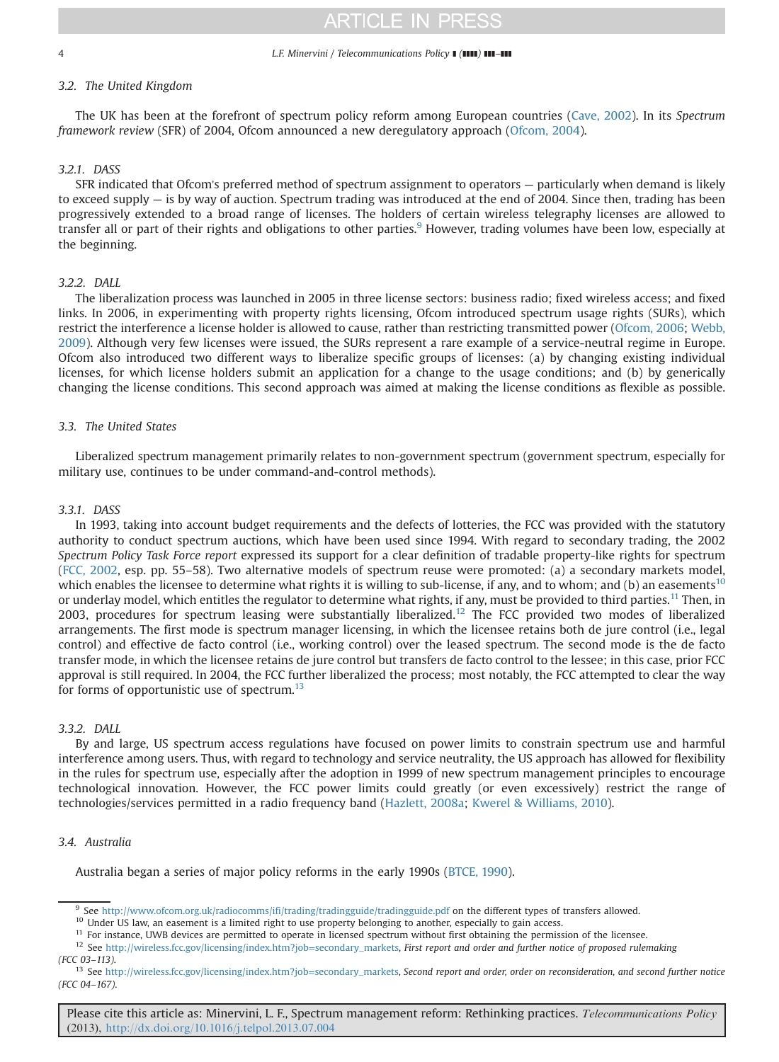#### 4 L.F. Minervini / Telecommunications Policy **[ (IIII) 111-111**

### 3.2. The United Kingdom

The UK has been at the forefront of spectrum policy reform among European countries ([Cave, 2002\)](#page-9-0). In its Spectrum framework review (SFR) of 2004, Ofcom announced a new deregulatory approach ([Ofcom, 2004](#page-10-0)).

#### 3.2.1. DASS

SFR indicated that Ofcom's preferred method of spectrum assignment to operators — particularly when demand is likely to exceed supply — is by way of auction. Spectrum trading was introduced at the end of 2004. Since then, trading has been progressively extended to a broad range of licenses. The holders of certain wireless telegraphy licenses are allowed to transfer all or part of their rights and obligations to other parties.<sup>9</sup> However, trading volumes have been low, especially at the beginning.

#### 3.2.2. DALL

The liberalization process was launched in 2005 in three license sectors: business radio; fixed wireless access; and fixed links. In 2006, in experimenting with property rights licensing, Ofcom introduced spectrum usage rights (SURs), which restrict the interference a license holder is allowed to cause, rather than restricting transmitted power [\(Ofcom, 2006](#page-10-0); [Webb,](#page-10-0) [2009](#page-10-0)). Although very few licenses were issued, the SURs represent a rare example of a service-neutral regime in Europe. Ofcom also introduced two different ways to liberalize specific groups of licenses: (a) by changing existing individual licenses, for which license holders submit an application for a change to the usage conditions; and (b) by generically changing the license conditions. This second approach was aimed at making the license conditions as flexible as possible.

#### 3.3. The United States

Liberalized spectrum management primarily relates to non-government spectrum (government spectrum, especially for military use, continues to be under command-and-control methods).

#### 3.3.1. DASS

In 1993, taking into account budget requirements and the defects of lotteries, the FCC was provided with the statutory authority to conduct spectrum auctions, which have been used since 1994. With regard to secondary trading, the 2002 Spectrum Policy Task Force report expressed its support for a clear definition of tradable property-like rights for spectrum ([FCC, 2002](#page-9-0), esp. pp. 55–58). Two alternative models of spectrum reuse were promoted: (a) a secondary markets model, which enables the licensee to determine what rights it is willing to sub-license, if any, and to whom; and (b) an easements<sup>10</sup> or underlay model, which entitles the regulator to determine what rights, if any, must be provided to third parties.<sup>11</sup> Then, in 2003, procedures for spectrum leasing were substantially liberalized.<sup>12</sup> The FCC provided two modes of liberalized arrangements. The first mode is spectrum manager licensing, in which the licensee retains both de jure control (i.e., legal control) and effective de facto control (i.e., working control) over the leased spectrum. The second mode is the de facto transfer mode, in which the licensee retains de jure control but transfers de facto control to the lessee; in this case, prior FCC approval is still required. In 2004, the FCC further liberalized the process; most notably, the FCC attempted to clear the way for forms of opportunistic use of spectrum.<sup>13</sup>

#### 3.3.2. DALL

By and large, US spectrum access regulations have focused on power limits to constrain spectrum use and harmful interference among users. Thus, with regard to technology and service neutrality, the US approach has allowed for flexibility in the rules for spectrum use, especially after the adoption in 1999 of new spectrum management principles to encourage technological innovation. However, the FCC power limits could greatly (or even excessively) restrict the range of technologies/services permitted in a radio frequency band [\(Hazlett, 2008a;](#page-10-0) [Kwerel & Williams, 2010\)](#page-10-0).

#### 3.4. Australia

Australia began a series of major policy reforms in the early 1990s [\(BTCE, 1990\)](#page-9-0).

<sup>9</sup> See <http://www.ofcom.org.uk/radiocomms/ifi/trading/tradingguide/tradingguide.pdf> on the different types of transfers allowed.

<sup>&</sup>lt;sup>10</sup> Under US law, an easement is a limited right to use property belonging to another, especially to gain access.

<sup>&</sup>lt;sup>11</sup> For instance, UWB devices are permitted to operate in licensed spectrum without first obtaining the permission of the licensee.

<sup>&</sup>lt;sup>12</sup> See [http://wireless.fcc.gov/licensing/index.htm?job](http://wireless.fcc.gov/licensing/index.htm?job=secondary_markets)=secondary\_markets, First report and order and further notice of proposed rulemaking (FCC 03–113).

<sup>&</sup>lt;sup>13</sup> See [http://wireless.fcc.gov/licensing/index.htm?job](http://wireless.fcc.gov/licensing/index.htm?job=secondary_markets)=secondary\_markets, Second report and order, order on reconsideration, and second further notice (FCC 04–167).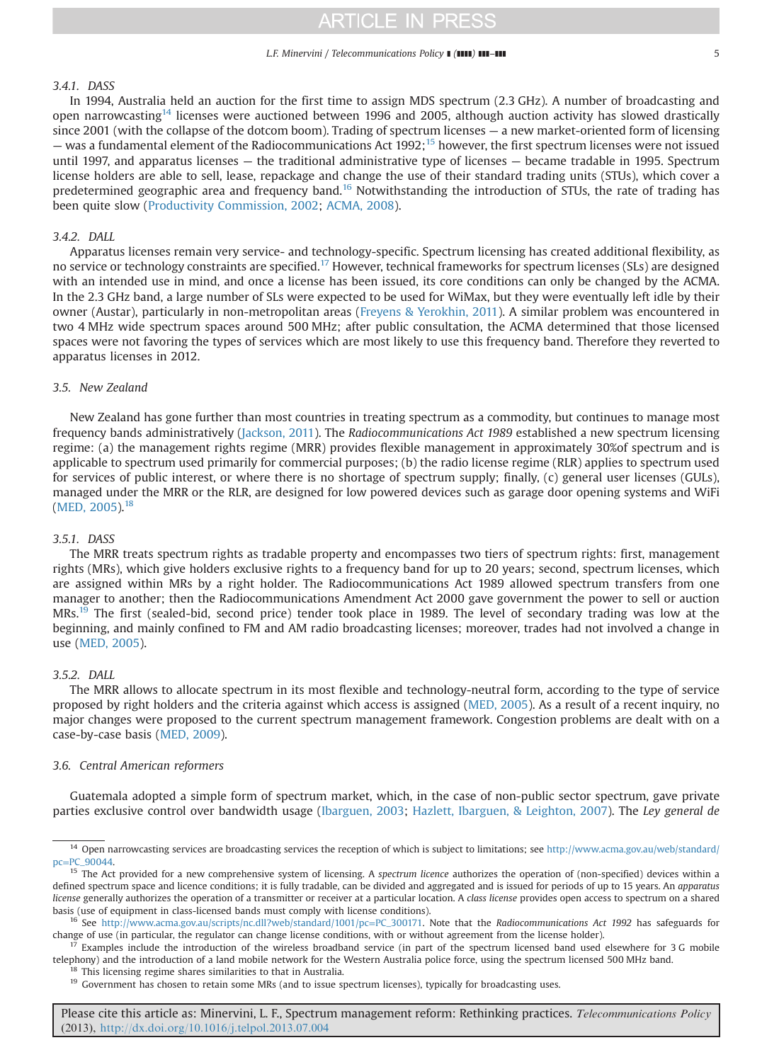#### L.F. Minervini / Telecommunications Policy **[4011] [1111] 111 111 111 111 111 111 111 111 111 111 111 111 111 111 111 111 111 111 111 111 111 111 111 111 111 111 111**

#### 3.4.1. DASS

In 1994, Australia held an auction for the first time to assign MDS spectrum (2.3 GHz). A number of broadcasting and open narrowcasting<sup>14</sup> licenses were auctioned between 1996 and 2005, although auction activity has slowed drastically since 2001 (with the collapse of the dotcom boom). Trading of spectrum licenses — a new market-oriented form of licensing — was a fundamental element of the Radiocommunications Act 1992;<sup>15</sup> however, the first spectrum licenses were not issued until 1997, and apparatus licenses — the traditional administrative type of licenses — became tradable in 1995. Spectrum license holders are able to sell, lease, repackage and change the use of their standard trading units (STUs), which cover a predetermined geographic area and frequency band.<sup>16</sup> Notwithstanding the introduction of STUs, the rate of trading has been quite slow ([Productivity Commission, 2002;](#page-10-0) [ACMA, 2008\)](#page-9-0).

#### 3.4.2. DALL

Apparatus licenses remain very service- and technology-specific. Spectrum licensing has created additional flexibility, as no service or technology constraints are specified.17 However, technical frameworks for spectrum licenses (SLs) are designed with an intended use in mind, and once a license has been issued, its core conditions can only be changed by the ACMA. In the 2.3 GHz band, a large number of SLs were expected to be used for WiMax, but they were eventually left idle by their owner (Austar), particularly in non-metropolitan areas ([Freyens](#page-9-0) [& Yerokhin, 2011](#page-9-0)). A similar problem was encountered in two 4 MHz wide spectrum spaces around 500 MHz; after public consultation, the ACMA determined that those licensed spaces were not favoring the types of services which are most likely to use this frequency band. Therefore they reverted to apparatus licenses in 2012.

#### 3.5. New Zealand

New Zealand has gone further than most countries in treating spectrum as a commodity, but continues to manage most frequency bands administratively [\(Jackson, 2011\)](#page-10-0). The Radiocommunications Act 1989 established a new spectrum licensing regime: (a) the management rights regime (MRR) provides flexible management in approximately 30%of spectrum and is applicable to spectrum used primarily for commercial purposes; (b) the radio license regime (RLR) applies to spectrum used for services of public interest, or where there is no shortage of spectrum supply; finally, (c) general user licenses (GULs), managed under the MRR or the RLR, are designed for low powered devices such as garage door opening systems and WiFi  $(MED, 2005).$  $(MED, 2005).$  $(MED, 2005).$ <sup>18</sup>

#### 3.5.1. DASS

The MRR treats spectrum rights as tradable property and encompasses two tiers of spectrum rights: first, management rights (MRs), which give holders exclusive rights to a frequency band for up to 20 years; second, spectrum licenses, which are assigned within MRs by a right holder. The Radiocommunications Act 1989 allowed spectrum transfers from one manager to another; then the Radiocommunications Amendment Act 2000 gave government the power to sell or auction MRs.19 The first (sealed-bid, second price) tender took place in 1989. The level of secondary trading was low at the beginning, and mainly confined to FM and AM radio broadcasting licenses; moreover, trades had not involved a change in use ([MED, 2005\)](#page-10-0).

#### 3.5.2. DALL

The MRR allows to allocate spectrum in its most flexible and technology-neutral form, according to the type of service proposed by right holders and the criteria against which access is assigned [\(MED, 2005](#page-10-0)). As a result of a recent inquiry, no major changes were proposed to the current spectrum management framework. Congestion problems are dealt with on a case-by-case basis ([MED, 2009](#page-10-0)).

#### 3.6. Central American reformers

Guatemala adopted a simple form of spectrum market, which, in the case of non-public sector spectrum, gave private parties exclusive control over bandwidth usage ([Ibarguen, 2003;](#page-10-0) [Hazlett, Ibarguen,](#page-10-0) & [Leighton, 2007\)](#page-10-0). The Ley general de

<sup>&</sup>lt;sup>14</sup> Open narrowcasting services are broadcasting services the reception of which is subject to limitations; see [http://www.acma.gov.au/web/standard/](http://www.acma.gov.au/web/standard/pc=PC_90044) pc=[PC\\_90044.](http://www.acma.gov.au/web/standard/pc=PC_90044)

 $15$  The Act provided for a new comprehensive system of licensing. A spectrum licence authorizes the operation of (non-specified) devices within a defined spectrum space and licence conditions; it is fully tradable, can be divided and aggregated and is issued for periods of up to 15 years. An apparatus license generally authorizes the operation of a transmitter or receiver at a particular location. A class license provides open access to spectrum on a shared basis (use of equipment in class-licensed bands must comply with license conditions).

<sup>&</sup>lt;sup>16</sup> See [http://www.acma.gov.au/scripts/nc.dll?web/standard/1001/pc](http://www.acma.gov.au/scripts/nc.dll?web/standard/1001/pc=PC_300171)=PC\_300171. Note that the Radiocommunications Act 1992 has safeguards for change of use (in particular, the regulator can change license conditions, with or without agreement from the license holder).

<sup>&</sup>lt;sup>17</sup> Examples include the introduction of the wireless broadband service (in part of the spectrum licensed band used elsewhere for 3 G mobile telephony) and the introduction of a land mobile network for the Western Australia police force, using the spectrum licensed 500 MHz band.

<sup>&</sup>lt;sup>18</sup> This licensing regime shares similarities to that in Australia.

<sup>&</sup>lt;sup>19</sup> Government has chosen to retain some MRs (and to issue spectrum licenses), typically for broadcasting uses.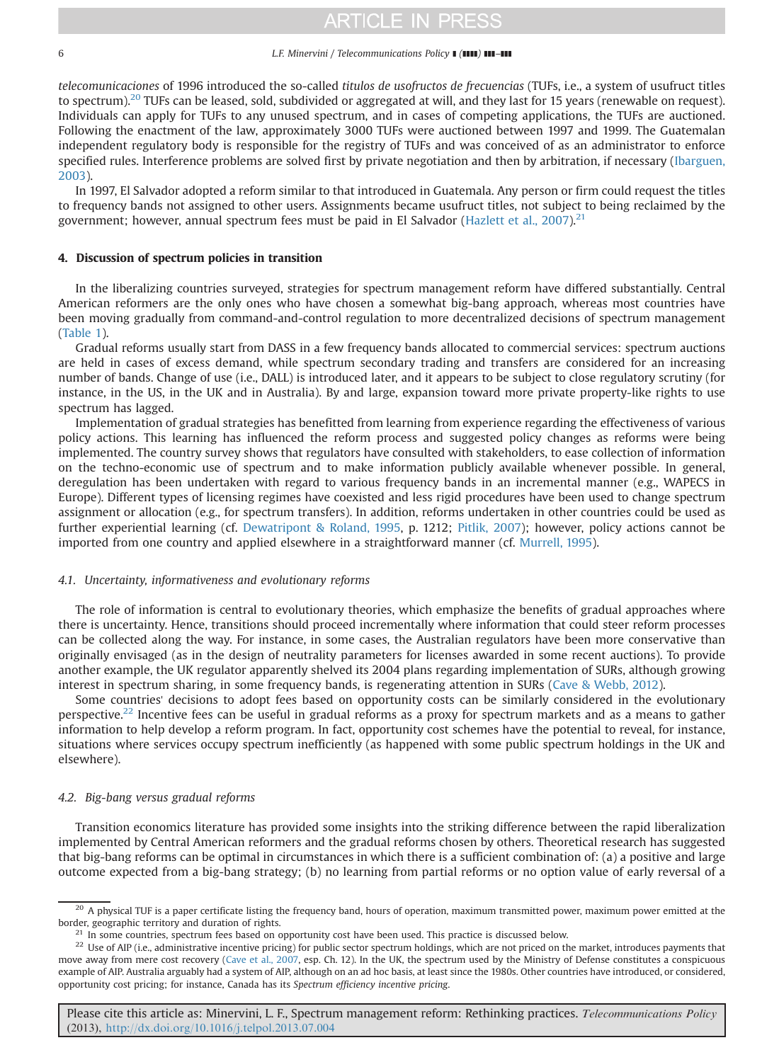#### <span id="page-5-0"></span>6 **I.F. Minervini / Telecommunications Policy | (||||||||||||||||**

telecomunicaciones of 1996 introduced the so-called titulos de usofructos de frecuencias (TUFs, i.e., a system of usufruct titles to spectrum).<sup>20</sup> TUFs can be leased, sold, subdivided or aggregated at will, and they last for 15 years (renewable on request). Individuals can apply for TUFs to any unused spectrum, and in cases of competing applications, the TUFs are auctioned. Following the enactment of the law, approximately 3000 TUFs were auctioned between 1997 and 1999. The Guatemalan independent regulatory body is responsible for the registry of TUFs and was conceived of as an administrator to enforce specified rules. Interference problems are solved first by private negotiation and then by arbitration, if necessary ([Ibarguen,](#page-10-0) [2003](#page-10-0)).

In 1997, El Salvador adopted a reform similar to that introduced in Guatemala. Any person or firm could request the titles to frequency bands not assigned to other users. Assignments became usufruct titles, not subject to being reclaimed by the government; however, annual spectrum fees must be paid in El Salvador [\(Hazlett et al., 2007\)](#page-10-0).<sup>21</sup>

#### 4. Discussion of spectrum policies in transition

In the liberalizing countries surveyed, strategies for spectrum management reform have differed substantially. Central American reformers are the only ones who have chosen a somewhat big-bang approach, whereas most countries have been moving gradually from command-and-control regulation to more decentralized decisions of spectrum management ([Table 1](#page-6-0)).

Gradual reforms usually start from DASS in a few frequency bands allocated to commercial services: spectrum auctions are held in cases of excess demand, while spectrum secondary trading and transfers are considered for an increasing number of bands. Change of use (i.e., DALL) is introduced later, and it appears to be subject to close regulatory scrutiny (for instance, in the US, in the UK and in Australia). By and large, expansion toward more private property-like rights to use spectrum has lagged.

Implementation of gradual strategies has benefitted from learning from experience regarding the effectiveness of various policy actions. This learning has influenced the reform process and suggested policy changes as reforms were being implemented. The country survey shows that regulators have consulted with stakeholders, to ease collection of information on the techno-economic use of spectrum and to make information publicly available whenever possible. In general, deregulation has been undertaken with regard to various frequency bands in an incremental manner (e.g., WAPECS in Europe). Different types of licensing regimes have coexisted and less rigid procedures have been used to change spectrum assignment or allocation (e.g., for spectrum transfers). In addition, reforms undertaken in other countries could be used as further experiential learning (cf. [Dewatripont](#page-9-0) & [Roland, 1995](#page-9-0), p. 1212; [Pitlik, 2007](#page-10-0)); however, policy actions cannot be imported from one country and applied elsewhere in a straightforward manner (cf. [Murrell, 1995](#page-10-0)).

#### 4.1. Uncertainty, informativeness and evolutionary reforms

The role of information is central to evolutionary theories, which emphasize the benefits of gradual approaches where there is uncertainty. Hence, transitions should proceed incrementally where information that could steer reform processes can be collected along the way. For instance, in some cases, the Australian regulators have been more conservative than originally envisaged (as in the design of neutrality parameters for licenses awarded in some recent auctions). To provide another example, the UK regulator apparently shelved its 2004 plans regarding implementation of SURs, although growing interest in spectrum sharing, in some frequency bands, is regenerating attention in SURs [\(Cave & Webb, 2012\)](#page-9-0).

Some countries' decisions to adopt fees based on opportunity costs can be similarly considered in the evolutionary perspective.<sup>22</sup> Incentive fees can be useful in gradual reforms as a proxy for spectrum markets and as a means to gather information to help develop a reform program. In fact, opportunity cost schemes have the potential to reveal, for instance, situations where services occupy spectrum inefficiently (as happened with some public spectrum holdings in the UK and elsewhere).

#### 4.2. Big-bang versus gradual reforms

Transition economics literature has provided some insights into the striking difference between the rapid liberalization implemented by Central American reformers and the gradual reforms chosen by others. Theoretical research has suggested that big-bang reforms can be optimal in circumstances in which there is a sufficient combination of: (a) a positive and large outcome expected from a big-bang strategy; (b) no learning from partial reforms or no option value of early reversal of a

 $20$  A physical TUF is a paper certificate listing the frequency band, hours of operation, maximum transmitted power, maximum power emitted at the border, geographic territory and duration of rights.

<sup>21</sup> In some countries, spectrum fees based on opportunity cost have been used. This practice is discussed below.

<sup>&</sup>lt;sup>22</sup> Use of AIP (i.e., administrative incentive pricing) for public sector spectrum holdings, which are not priced on the market, introduces payments that move away from mere cost recovery ([Cave et al., 2007,](#page-9-0) esp. Ch. 12). In the UK, the spectrum used by the Ministry of Defense constitutes a conspicuous example of AIP. Australia arguably had a system of AIP, although on an ad hoc basis, at least since the 1980s. Other countries have introduced, or considered, opportunity cost pricing; for instance, Canada has its Spectrum efficiency incentive pricing.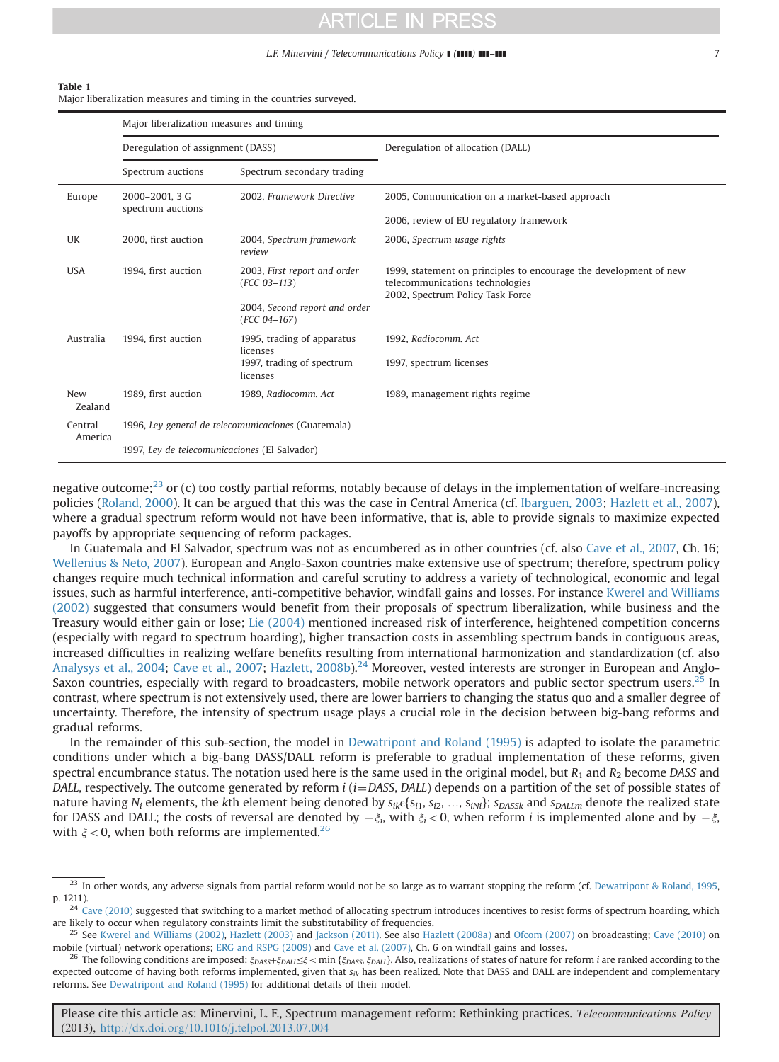#### L.F. Minervini / Telecommunications Policy **[(1111) 111-111 111-111** 7

#### <span id="page-6-0"></span>Table 1

Major liberalization measures and timing in the countries surveyed.

|                       | Major liberalization measures and timing            |                                               |                                                                                                                                          |
|-----------------------|-----------------------------------------------------|-----------------------------------------------|------------------------------------------------------------------------------------------------------------------------------------------|
|                       | Deregulation of assignment (DASS)                   |                                               | Deregulation of allocation (DALL)                                                                                                        |
|                       | Spectrum auctions                                   | Spectrum secondary trading                    |                                                                                                                                          |
| Europe                | 2000-2001, 3 G<br>spectrum auctions                 | 2002. Framework Directive                     | 2005, Communication on a market-based approach                                                                                           |
|                       |                                                     |                                               | 2006, review of EU regulatory framework                                                                                                  |
| UK                    | 2000, first auction                                 | 2004, Spectrum framework<br>review            | 2006, Spectrum usage rights                                                                                                              |
| <b>USA</b>            | 1994. first auction                                 | 2003, First report and order<br>(FCC 03-113)  | 1999, statement on principles to encourage the development of new<br>telecommunications technologies<br>2002, Spectrum Policy Task Force |
|                       |                                                     | 2004, Second report and order<br>(FCC 04-167) |                                                                                                                                          |
| Australia             | 1994. first auction                                 | 1995, trading of apparatus<br>licenses        | 1992, Radiocomm. Act                                                                                                                     |
|                       |                                                     | 1997, trading of spectrum<br>licenses         | 1997, spectrum licenses                                                                                                                  |
| <b>New</b><br>Zealand | 1989. first auction                                 | 1989. Radiocomm. Act                          | 1989, management rights regime                                                                                                           |
| Central<br>America    | 1996, Ley general de telecomunicaciones (Guatemala) |                                               |                                                                                                                                          |
|                       | 1997, Ley de telecomunicaciones (El Salvador)       |                                               |                                                                                                                                          |

negative outcome;<sup>23</sup> or (c) too costly partial reforms, notably because of delays in the implementation of welfare-increasing policies ([Roland, 2000\)](#page-10-0). It can be argued that this was the case in Central America (cf. [Ibarguen, 2003](#page-10-0); [Hazlett et al., 2007](#page-10-0)), where a gradual spectrum reform would not have been informative, that is, able to provide signals to maximize expected payoffs by appropriate sequencing of reform packages.

In Guatemala and El Salvador, spectrum was not as encumbered as in other countries (cf. also [Cave et al., 2007,](#page-9-0) Ch. 16; [Wellenius & Neto, 2007](#page-10-0)). European and Anglo-Saxon countries make extensive use of spectrum; therefore, spectrum policy changes require much technical information and careful scrutiny to address a variety of technological, economic and legal issues, such as harmful interference, anti-competitive behavior, windfall gains and losses. For instance [Kwerel and Williams](#page-10-0) [\(2002\)](#page-10-0) suggested that consumers would benefit from their proposals of spectrum liberalization, while business and the Treasury would either gain or lose; [Lie \(2004\)](#page-10-0) mentioned increased risk of interference, heightened competition concerns (especially with regard to spectrum hoarding), higher transaction costs in assembling spectrum bands in contiguous areas, increased difficulties in realizing welfare benefits resulting from international harmonization and standardization (cf. also [Analysys et al., 2004](#page-9-0); [Cave et al., 2007;](#page-9-0) [Hazlett, 2008b](#page-10-0)).<sup>24</sup> Moreover, vested interests are stronger in European and Anglo-Saxon countries, especially with regard to broadcasters, mobile network operators and public sector spectrum users.<sup>25</sup> In contrast, where spectrum is not extensively used, there are lower barriers to changing the status quo and a smaller degree of uncertainty. Therefore, the intensity of spectrum usage plays a crucial role in the decision between big-bang reforms and gradual reforms.

In the remainder of this sub-section, the model in [Dewatripont and Roland \(1995\)](#page-9-0) is adapted to isolate the parametric conditions under which a big-bang DASS/DALL reform is preferable to gradual implementation of these reforms, given spectral encumbrance status. The notation used here is the same used in the original model, but  $R_1$  and  $R_2$  become DASS and DALL, respectively. The outcome generated by reform  $i$  ( $i$ =DASS, DALL) depends on a partition of the set of possible states of nature having N<sub>i</sub> elements, the kth element being denoted by  $s_{ik} \epsilon \{s_{i1}, s_{i2}, ..., s_{iNi}\}$ ;  $s_{DASSK}$  and  $s_{DALLm}$  denote the realized state for DASS and DALL; the costs of reversal are denoted by  $-\xi_i$ , with  $\xi_i < 0$ , when reform i is implemented alone and by  $-\xi_i$ ,<br>with  $\xi < 0$ , when both reforms are implemented  $2^6$ with  $\xi$  < 0, when both reforms are implemented.<sup>26</sup>

 $^{23}$  In other words, any adverse signals from partial reform would not be so large as to warrant stopping the reform (cf. [Dewatripont & Roland, 1995,](#page-9-0) p. 1211).

<sup>&</sup>lt;sup>24</sup> [Cave \(2010\)](#page-9-0) suggested that switching to a market method of allocating spectrum introduces incentives to resist forms of spectrum hoarding, which are likely to occur when regulatory constraints limit the substitutability of frequencies.

<sup>25</sup> See [Kwerel and Williams \(2002\),](#page-10-0) [Hazlett \(2003\)](#page-10-0) and [Jackson \(2011\)](#page-10-0). See also [Hazlett \(2008a\)](#page-10-0) and [Ofcom \(2007\)](#page-10-0) on broadcasting; [Cave \(2010\)](#page-9-0) on mobile (virtual) network operations; [ERG and RSPG \(2009\)](#page-9-0) and [Cave et al. \(2007\)](#page-9-0), Ch. 6 on windfall gains and losses.

<sup>&</sup>lt;sup>26</sup> The following conditions are imposed:  $\xi_{DASS}+\xi_{DALL}\leq \xi$  < min { $\xi_{DASS}$ ,  $\xi_{DALL}$ }. Also, realizations of states of nature for reform *i* are ranked according to the expected outcome of having both reforms implemented, given that  $s_{ik}$  has been realized. Note that DASS and DALL are independent and complementary reforms. See [Dewatripont and Roland \(1995\)](#page-9-0) for additional details of their model.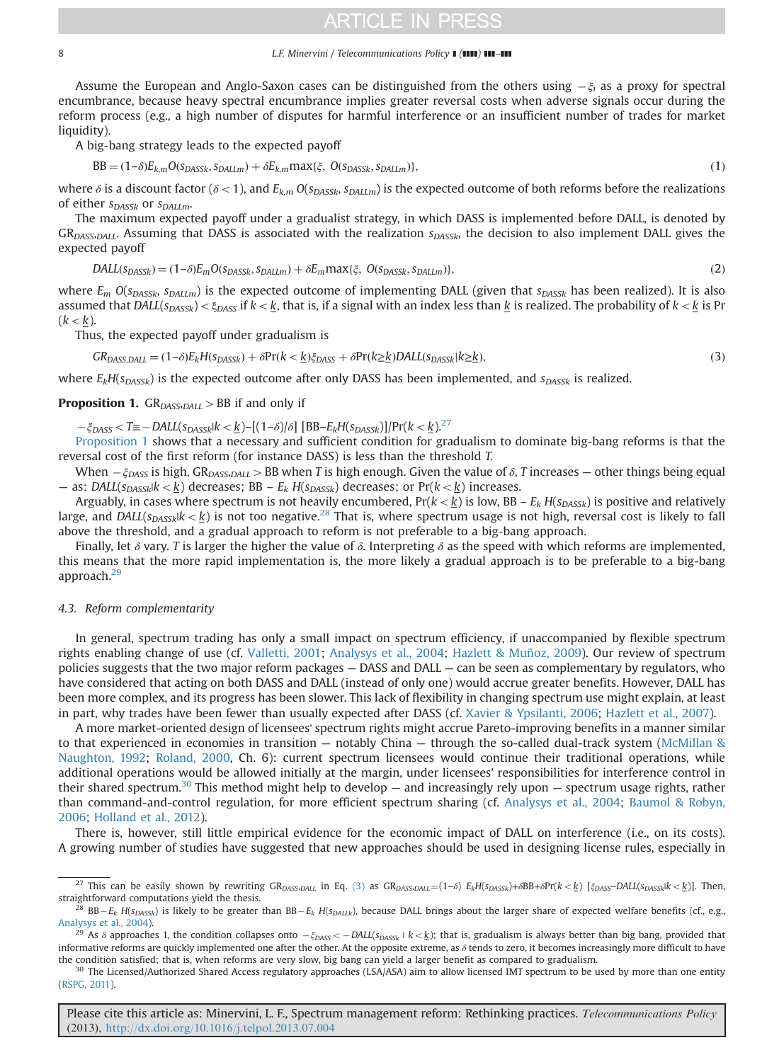### 8 **B** *L.F. Minervini / Telecommunications Policy* **[ (IIII) 111-111**

**ARTICLE IN PRESS** 

Assume the European and Anglo-Saxon cases can be distinguished from the others using  $-\xi_i$  as a proxy for spectral<br>umbrance, because heavy spectral encumbrance implies greater reversal costs when adverse signals occur dur encumbrance, because heavy spectral encumbrance implies greater reversal costs when adverse signals occur during the reform process (e.g., a high number of disputes for harmful interference or an insufficient number of trades for market liquidity).

A big-bang strategy leads to the expected payoff

$$
BB = (1 - \delta)E_{k,m}O(s_{DASSk}, s_{DALLm}) + \delta E_{k,m} \max\{\xi, O(s_{DASSk}, s_{DALLm})\},\tag{1}
$$

where  $\delta$  is a discount factor ( $\delta$  < 1), and  $E_{k,m}$  O( $s_{DASSk}$ ,  $s_{DALLm}$ ) is the expected outcome of both reforms before the realizations of either  $s_{DASSk}$  or  $s_{DALLm}$ .

The maximum expected payoff under a gradualist strategy, in which DASS is implemented before DALL, is denoted by GR<sub>DASS</sub>, DALL. Assuming that DASS is associated with the realization s<sub>DASSk</sub>, the decision to also implement DALL gives the expected payoff

$$
DAL(s_{DASSk}) = (1 - \delta)E_mO(s_{DASSk}, s_{DALLm}) + \delta E_m \max\{\xi, O(s_{DASSk}, s_{DALLm})\},\tag{2}
$$

where  $E_m$  O(s<sub>DASSk</sub>, s<sub>DALLm</sub>) is the expected outcome of implementing DALL (given that s<sub>DASSk</sub> has been realized). It is also assumed that  $DAL(S_{DASS}) < \xi_{DASS}$  if  $k < k$ , that is, if a signal with an index less than k is realized. The probability of  $k < k$  is Pr  $(k < k)$ .

Thus, the expected payoff under gradualism is

 $GR_{DASSDALL} = (1-\delta)E_kH(s_{DASSL}) + \delta Pr(k < k)\xi_{DASS} + \delta Pr(k \ge k)DALL(s_{DASSL}|k \ge k)$  (3)

where  $E_kH(s_{DASSk})$  is the expected outcome after only DASS has been implemented, and  $s_{DASSk}$  is realized.

**Proposition 1.** GR<sub>DASS</sub>,  $DALL > BB$  if and only if

 $\xi_{DASS} < T \equiv -DALL(s_{DASSk}|k \lt k) - [(1-\delta)/\delta] [\text{BB}-E_kH(s_{DASSk})]/\text{Pr}(k \lt k)^{27}$ 

-Proposition 1 shows that a necessary and sufficient condition for gradualism to dominate big-bang reforms is that the reversal cost of the first reform (for instance DASS) is less than the threshold T.

When  $-\xi_{DASS}$  is high, GR<sub>DASS</sub>,  $DALL > BB$  when T is high enough. Given the value of  $\delta$ , T increases — other things being equal<br>see DALL(s<sub>press</sub>uk  $\leq k$ ) decreases: BB – E. H(spress) decreases: or Pr(k  $\leq k$ ) increase — as: DALL( $s_{DASSk}|k \lt k$ ) decreases; BB –  $E_k H(s_{DASSk})$  decreases; or Pr( $k \lt k$ ) increases.

Arguably, in cases where spectrum is not heavily encumbered,  $Pr(k < k)$  is low, BB –  $E_k H(s_{DASSk})$  is positive and relatively large, and DALL( $s_{DASSk}|k\lt k$ ) is not too negative.<sup>28</sup> That is, where spectrum usage is not high, reversal cost is likely to fall above the threshold, and a gradual approach to reform is not preferable to a big-bang approach.

Finally, let  $\delta$  vary. T is larger the higher the value of  $\delta$ . Interpreting  $\delta$  as the speed with which reforms are implemented, this means that the more rapid implementation is, the more likely a gradual approach is to be preferable to a big-bang approach.<sup>29</sup>

#### 4.3. Reform complementarity

In general, spectrum trading has only a small impact on spectrum efficiency, if unaccompanied by flexible spectrum rights enabling change of use (cf. [Valletti, 2001;](#page-10-0) [Analysys et al., 2004](#page-9-0); [Hazlett & Muñoz, 2009](#page-10-0)). Our review of spectrum policies suggests that the two major reform packages — DASS and DALL — can be seen as complementary by regulators, who have considered that acting on both DASS and DALL (instead of only one) would accrue greater benefits. However, DALL has been more complex, and its progress has been slower. This lack of flexibility in changing spectrum use might explain, at least in part, why trades have been fewer than usually expected after DASS (cf. [Xavier & Ypsilanti, 2006;](#page-10-0) [Hazlett et al., 2007\)](#page-10-0).

A more market-oriented design of licensees' spectrum rights might accrue Pareto-improving benefits in a manner similar to that experienced in economies in transition – notably China – through the so-called dual-track system [\(McMillan](#page-10-0) & [Naughton, 1992;](#page-10-0) [Roland, 2000,](#page-10-0) Ch. 6): current spectrum licensees would continue their traditional operations, while additional operations would be allowed initially at the margin, under licensees' responsibilities for interference control in their shared spectrum.<sup>30</sup> This method might help to develop  $-$  and increasingly rely upon  $-$  spectrum usage rights, rather than command-and-control regulation, for more efficient spectrum sharing (cf. [Analysys et al., 2004;](#page-9-0) [Baumol](#page-9-0) & [Robyn,](#page-9-0) [2006](#page-9-0); [Holland et al., 2012](#page-10-0)).

There is, however, still little empirical evidence for the economic impact of DALL on interference (i.e., on its costs). A growing number of studies have suggested that new approaches should be used in designing license rules, especially in

<sup>&</sup>lt;sup>27</sup> This can be easily shown by rewriting GR<sub>DASS</sub>,DALL in Eq. (3) as GR<sub>DASS</sub>,DALL = (1–δ)  $E_kH(S_{DASS})+\delta BB+\delta Pr(k < k)$  [ $\xi_{DASS}-DALL(S_{DASS})k < k$ ]. Then, straightforward computations yield the thesis.

<sup>&</sup>lt;sup>28</sup> BB- $E_k$  H(s<sub>DASSk</sub>) is likely to be greater than BB- $E_k$  H(s<sub>DALLk</sub>), because DALL brings about the larger share of expected welfare benefits (cf., e.g., <br>lysus et al. 2004) [Analysys et al., 2004\)](#page-9-0).

<sup>&</sup>lt;sup>29</sup> As δ approaches 1, the condition collapses onto  $-\xi_{DASS} < -DALL(s_{DASS} + k \lt k)$ ; that is, gradualism is always better than big bang, provided that  $-\xi_{DASS}$  is always better than big bang, provided that  $-\xi_{DASS}$  is always bet informative reforms are quickly implemented one after the other. At the opposite extreme, as  $\delta$  tends to zero, it becomes increasingly more difficult to have the condition satisfied; that is, when reforms are very slow, big bang can yield a larger benefit as compared to gradualism.

<sup>&</sup>lt;sup>30</sup> The Licensed/Authorized Shared Access regulatory approaches (LSA/ASA) aim to allow licensed IMT spectrum to be used by more than one entity [\(RSPG, 2011](#page-10-0)).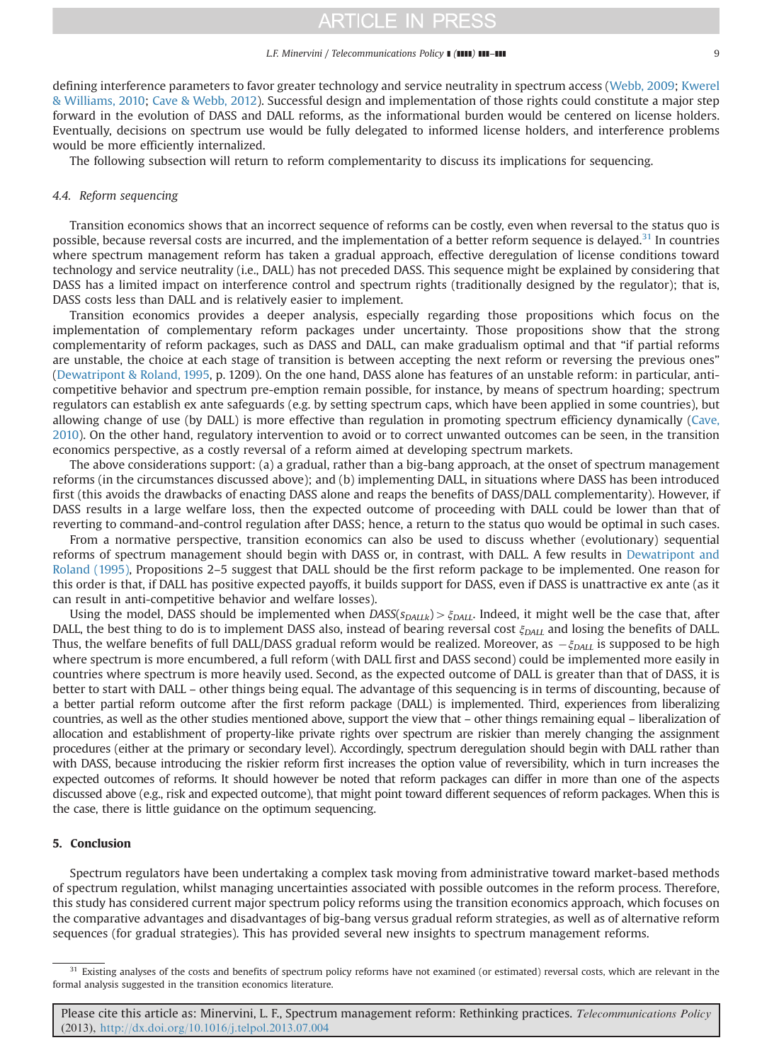#### L.F. Minervini / Telecommunications Policy **[4011] [1111] 111 111 111 111 111 111 111 111 111 111 111 111 111 111 111 111 111 111 111 111 111 111 111 111 111 111 111**

<span id="page-8-0"></span>defining interference parameters to favor greater technology and service neutrality in spectrum access [\(Webb, 2009;](#page-10-0) [Kwerel](#page-10-0) & [Williams, 2010](#page-10-0); [Cave & Webb, 2012\)](#page-9-0). Successful design and implementation of those rights could constitute a major step forward in the evolution of DASS and DALL reforms, as the informational burden would be centered on license holders. Eventually, decisions on spectrum use would be fully delegated to informed license holders, and interference problems would be more efficiently internalized.

The following subsection will return to reform complementarity to discuss its implications for sequencing.

#### 4.4. Reform sequencing

Transition economics shows that an incorrect sequence of reforms can be costly, even when reversal to the status quo is possible, because reversal costs are incurred, and the implementation of a better reform sequence is delayed.<sup>31</sup> In countries where spectrum management reform has taken a gradual approach, effective deregulation of license conditions toward technology and service neutrality (i.e., DALL) has not preceded DASS. This sequence might be explained by considering that DASS has a limited impact on interference control and spectrum rights (traditionally designed by the regulator); that is, DASS costs less than DALL and is relatively easier to implement.

Transition economics provides a deeper analysis, especially regarding those propositions which focus on the implementation of complementary reform packages under uncertainty. Those propositions show that the strong complementarity of reform packages, such as DASS and DALL, can make gradualism optimal and that "if partial reforms are unstable, the choice at each stage of transition is between accepting the next reform or reversing the previous ones" ([Dewatripont & Roland, 1995](#page-9-0), p. 1209). On the one hand, DASS alone has features of an unstable reform: in particular, anticompetitive behavior and spectrum pre-emption remain possible, for instance, by means of spectrum hoarding; spectrum regulators can establish ex ante safeguards (e.g. by setting spectrum caps, which have been applied in some countries), but allowing change of use (by DALL) is more effective than regulation in promoting spectrum efficiency dynamically ([Cave,](#page-9-0) [2010](#page-9-0)). On the other hand, regulatory intervention to avoid or to correct unwanted outcomes can be seen, in the transition economics perspective, as a costly reversal of a reform aimed at developing spectrum markets.

The above considerations support: (a) a gradual, rather than a big-bang approach, at the onset of spectrum management reforms (in the circumstances discussed above); and (b) implementing DALL, in situations where DASS has been introduced first (this avoids the drawbacks of enacting DASS alone and reaps the benefits of DASS/DALL complementarity). However, if DASS results in a large welfare loss, then the expected outcome of proceeding with DALL could be lower than that of reverting to command-and-control regulation after DASS; hence, a return to the status quo would be optimal in such cases.

From a normative perspective, transition economics can also be used to discuss whether (evolutionary) sequential reforms of spectrum management should begin with DASS or, in contrast, with DALL. A few results in [Dewatripont and](#page-9-0) [Roland \(1995\)](#page-9-0), Propositions 2–5 suggest that DALL should be the first reform package to be implemented. One reason for this order is that, if DALL has positive expected payoffs, it builds support for DASS, even if DASS is unattractive ex ante (as it can result in anti-competitive behavior and welfare losses).

Using the model, DASS should be implemented when  $DASS(s_{DALk}) > \xi_{DAL}$ . Indeed, it might well be the case that, after DALL, the best thing to do is to implement DASS also, instead of bearing reversal cost  $\xi_{DAL}$  and losing the benefits of DALL. Thus, the welfare benefits of full DALL/DASS gradual reform would be realized. Moreover, as  $-\xi_{DALL}$  is supposed to be high<br>where spectrum is more encumbered a full reform (with DALL first and DASS second) could be implem where spectrum is more encumbered, a full reform (with DALL first and DASS second) could be implemented more easily in countries where spectrum is more heavily used. Second, as the expected outcome of DALL is greater than that of DASS, it is better to start with DALL – other things being equal. The advantage of this sequencing is in terms of discounting, because of a better partial reform outcome after the first reform package (DALL) is implemented. Third, experiences from liberalizing countries, as well as the other studies mentioned above, support the view that – other things remaining equal – liberalization of allocation and establishment of property-like private rights over spectrum are riskier than merely changing the assignment procedures (either at the primary or secondary level). Accordingly, spectrum deregulation should begin with DALL rather than with DASS, because introducing the riskier reform first increases the option value of reversibility, which in turn increases the expected outcomes of reforms. It should however be noted that reform packages can differ in more than one of the aspects discussed above (e.g., risk and expected outcome), that might point toward different sequences of reform packages. When this is the case, there is little guidance on the optimum sequencing.

#### 5. Conclusion

Spectrum regulators have been undertaking a complex task moving from administrative toward market-based methods of spectrum regulation, whilst managing uncertainties associated with possible outcomes in the reform process. Therefore, this study has considered current major spectrum policy reforms using the transition economics approach, which focuses on the comparative advantages and disadvantages of big-bang versus gradual reform strategies, as well as of alternative reform sequences (for gradual strategies). This has provided several new insights to spectrum management reforms.

Please cite this article as: Minervini, L. F., Spectrum management reform: Rethinking practices. Telecommunications Policy (2013), [http://dx.doi.org/10.1016/j.telpol.2013.07.004i](http://dx.doi.org/10.1016/j.telpol.2013.07.004)

<sup>&</sup>lt;sup>31</sup> Existing analyses of the costs and benefits of spectrum policy reforms have not examined (or estimated) reversal costs, which are relevant in the formal analysis suggested in the transition economics literature.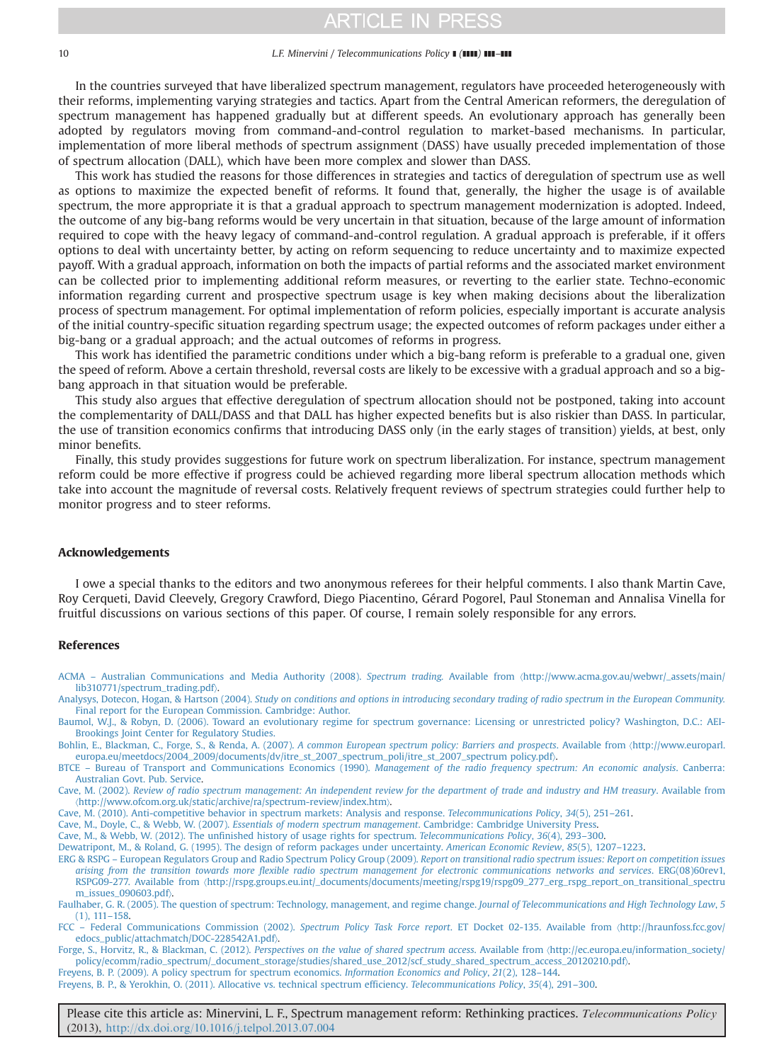#### <span id="page-9-0"></span>10 10 L.F. Minervini / Telecommunications Policy **[ (IIII) 111-111**

In the countries surveyed that have liberalized spectrum management, regulators have proceeded heterogeneously with their reforms, implementing varying strategies and tactics. Apart from the Central American reformers, the deregulation of spectrum management has happened gradually but at different speeds. An evolutionary approach has generally been adopted by regulators moving from command-and-control regulation to market-based mechanisms. In particular, implementation of more liberal methods of spectrum assignment (DASS) have usually preceded implementation of those of spectrum allocation (DALL), which have been more complex and slower than DASS.

This work has studied the reasons for those differences in strategies and tactics of deregulation of spectrum use as well as options to maximize the expected benefit of reforms. It found that, generally, the higher the usage is of available spectrum, the more appropriate it is that a gradual approach to spectrum management modernization is adopted. Indeed, the outcome of any big-bang reforms would be very uncertain in that situation, because of the large amount of information required to cope with the heavy legacy of command-and-control regulation. A gradual approach is preferable, if it offers options to deal with uncertainty better, by acting on reform sequencing to reduce uncertainty and to maximize expected payoff. With a gradual approach, information on both the impacts of partial reforms and the associated market environment can be collected prior to implementing additional reform measures, or reverting to the earlier state. Techno-economic information regarding current and prospective spectrum usage is key when making decisions about the liberalization process of spectrum management. For optimal implementation of reform policies, especially important is accurate analysis of the initial country-specific situation regarding spectrum usage; the expected outcomes of reform packages under either a big-bang or a gradual approach; and the actual outcomes of reforms in progress.

This work has identified the parametric conditions under which a big-bang reform is preferable to a gradual one, given the speed of reform. Above a certain threshold, reversal costs are likely to be excessive with a gradual approach and so a bigbang approach in that situation would be preferable.

This study also argues that effective deregulation of spectrum allocation should not be postponed, taking into account the complementarity of DALL/DASS and that DALL has higher expected benefits but is also riskier than DASS. In particular, the use of transition economics confirms that introducing DASS only (in the early stages of transition) yields, at best, only minor benefits.

Finally, this study provides suggestions for future work on spectrum liberalization. For instance, spectrum management reform could be more effective if progress could be achieved regarding more liberal spectrum allocation methods which take into account the magnitude of reversal costs. Relatively frequent reviews of spectrum strategies could further help to monitor progress and to steer reforms.

#### Acknowledgements

I owe a special thanks to the editors and two anonymous referees for their helpful comments. I also thank Martin Cave, Roy Cerqueti, David Cleevely, Gregory Crawford, Diego Piacentino, Gérard Pogorel, Paul Stoneman and Annalisa Vinella for fruitful discussions on various sections of this paper. Of course, I remain solely responsible for any errors.

#### References

ACMA – [Australian Communications and Media Authority \(2008\).](http://www.acma.gov.au/webwr/_assets/main/lib310771/spectrum_trading.pdf) Spectrum trading. Available from 〈http://www.acma.gov.au/webwr/\_assets/main/ [lib310771/spectrum\\_trading.pdf](http://www.acma.gov.au/webwr/_assets/main/lib310771/spectrum_trading.pdf)〉.

Cave, M. (2002). [Review of radio spectrum management: An independent review for the department of trade and industry and HM treasury](http://refhub.elsevier.com/S0308-5961(13)00111-0/othref0025). Available from 〈<http://www.ofcom.org.uk/static/archive/ra/spectrum-review/index.htm>〉.

[Cave, M. \(2010\). Anti-competitive behavior in spectrum markets: Analysis and response.](http://refhub.elsevier.com/S0308-5961(13)00111-0/sbref2) Telecommunications Policy, 34(5), 251–261.

Cave, M., Doyle, C., & Webb, W. (2007). [Essentials of modern spectrum management](http://refhub.elsevier.com/S0308-5961(13)00111-0/sbref3). Cambridge: Cambridge University Press.

[Cave, M., & Webb, W. \(2012\). The unfinished history of usage rights for spectrum.](http://refhub.elsevier.com/S0308-5961(13)00111-0/sbref4) Telecommunications Policy, 36(4), 293–300.

[Dewatripont, M., & Roland, G. \(1995\). The design of reform packages under uncertainty.](http://refhub.elsevier.com/S0308-5961(13)00111-0/sbref5) American Economic Review, 85(5), 1207–1223.

[ERG &](http://refhub.elsevier.com/S0308-5961(13)00111-0/othref0030) RSPG – European Regulators Group and Radio Spectrum Policy Group (2009). [Report on transitional radio spectrum issues: Report on competition issues](http://refhub.elsevier.com/S0308-5961(13)00111-0/othref0030) [arising from the transition towards more flexible radio spectrum management for electronic communications networks and services](http://refhub.elsevier.com/S0308-5961(13)00111-0/othref0030). ERG(08)60rev1, RSPG09-277. Available from 〈[http://rspg.groups.eu.int/\\_documents/documents/meeting/rspg19/rspg09\\_277\\_erg\\_rspg\\_report\\_on\\_transitional\\_spectru](http://rspg.groups.eu.int/_documents/documents/meeting/rspg19/rspg09_277_erg_rspg_report_on_transitional_spectrum_issues_090603.pdf) [m\\_issues\\_090603.pdf](http://rspg.groups.eu.int/_documents/documents/meeting/rspg19/rspg09_277_erg_rspg_report_on_transitional_spectrum_issues_090603.pdf)〉.

[Faulhaber, G. R. \(2005\). The question of spectrum: Technology, management, and regime change.](http://refhub.elsevier.com/S0308-5961(13)00111-0/sbref6) Journal of Telecommunications and High Technology Law, 5 [\(1\), 111](http://refhub.elsevier.com/S0308-5961(13)00111-0/sbref6)–158.

FCC – [Federal Communications Commission \(2002\).](http://hraunfoss.fcc.gov/edocs_public/attachmatch/DOC-228542A1.pdf) Spectrum Policy Task Force report. ET Docket 02-135. Available from 〈http://hraunfoss.fcc.gov/ [edocs\\_public/attachmatch/DOC-228542A1.pdf](http://hraunfoss.fcc.gov/edocs_public/attachmatch/DOC-228542A1.pdf)〉.

[Forge, S., Horvitz, R.,](http://refhub.elsevier.com/S0308-5961(13)00111-0/othref0040) & Blackman, C. (2012). [Perspectives on the value of shared spectrum access](http://ec.europa.eu/information_society/policy/ecomm/radio_spectrum/_document_storage/studies/shared_use_2012/scf_study_shared_spectrum_access_20120210.pdf). Available from  $\langle$ http://ec.europa.eu/information\_society/ [policy/ecomm/radio\\_spectrum/\\_document\\_storage/studies/shared\\_use\\_2012/scf\\_study\\_shared\\_spectrum\\_access\\_20120210.pdf](http://ec.europa.eu/information_society/policy/ecomm/radio_spectrum/_document_storage/studies/shared_use_2012/scf_study_shared_spectrum_access_20120210.pdf)〉.

[Freyens, B. P. \(2009\). A policy spectrum for spectrum economics.](http://refhub.elsevier.com/S0308-5961(13)00111-0/sbref7) Information Economics and Policy, 21(2), 128–144. [Freyens, B. P., & Yerokhin, O. \(2011\). Allocative vs. technical spectrum efficiency.](http://refhub.elsevier.com/S0308-5961(13)00111-0/sbref8) Telecommunications Policy, 35(4), 291–300.

Please cite this article as: Minervini, L. F., Spectrum management reform: Rethinking practices. Telecommunications Policy (2013), [http://dx.doi.org/10.1016/j.telpol.2013.07.004i](http://dx.doi.org/10.1016/j.telpol.2013.07.004)

[Analysys, Dotecon, Hogan,](http://refhub.elsevier.com/S0308-5961(13)00111-0/othref0010) & Hartson (2004). [Study on conditions and options in introducing secondary trading of radio spectrum in the European Community.](http://refhub.elsevier.com/S0308-5961(13)00111-0/othref0010) [Final report for the European Commission. Cambridge: Author.](http://refhub.elsevier.com/S0308-5961(13)00111-0/othref0010)

[Baumol, W.J.,](http://refhub.elsevier.com/S0308-5961(13)00111-0/othref0015) & [Robyn, D. \(2006\). Toward an evolutionary regime for spectrum governance: Licensing or unrestricted policy? Washington, D.C.: AEI-](http://refhub.elsevier.com/S0308-5961(13)00111-0/othref0015)[Brookings Joint Center for Regulatory Studies.](http://refhub.elsevier.com/S0308-5961(13)00111-0/othref0015)

[Bohlin, E., Blackman, C., Forge, S., &](http://refhub.elsevier.com/S0308-5961(13)00111-0/othref0020) Renda, A. (2007). [A common European spectrum policy: Barriers and prospects](http://www.europarl.europa.eu/meetdocs/2004_2009/documents/dv/itre_st_2007_spectrum_poli/itre_st_2007_spectrum policy.pdf). Available from 〈http://www.europarl. [europa.eu/meetdocs/2004\\_2009/documents/dv/itre\\_st\\_2007\\_spectrum\\_poli/itre\\_st\\_2007\\_spectrum policy.pdf](http://www.europarl.europa.eu/meetdocs/2004_2009/documents/dv/itre_st_2007_spectrum_poli/itre_st_2007_spectrum policy.pdf)〉.

BTCE – Bureau of Transport and Communications Economics (1990). [Management of the radio frequency spectrum: An economic analysis](http://refhub.elsevier.com/S0308-5961(13)00111-0/sbref1). Canberra: [Australian Govt. Pub. Service.](http://refhub.elsevier.com/S0308-5961(13)00111-0/sbref1)